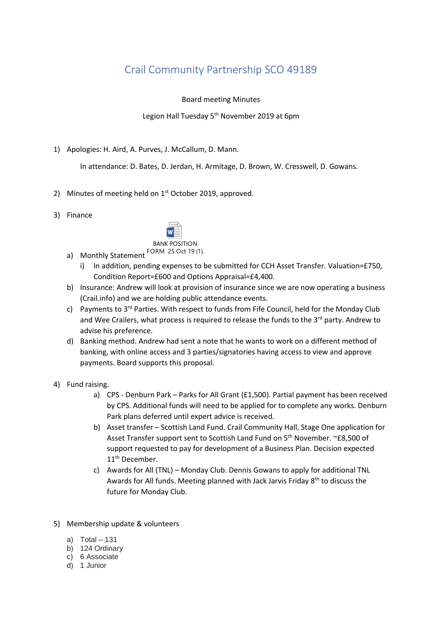## Crail Community Partnership SCO 49189

## Board meeting Minutes

## Legion Hall Tuesday 5<sup>th</sup> November 2019 at 6pm

1) Apologies: H. Aird, A. Purves, J. McCallum, D. Mann.

In attendance: D. Bates, D. Jerdan, H. Armitage, D. Brown, W. Cresswell, D. Gowans.

- 2) Minutes of meeting held on  $1<sup>st</sup>$  October 2019, approved.
- 3) Finance



- a) Monthly Statement <sup>FORM</sup> 25 Oct 19 (1).
	- i) In addition, pending expenses to be submitted for CCH Asset Transfer. Valuation=£750, Condition Report=£600 and Options Appraisal=£4,400.
- b) Insurance: Andrew will look at provision of insurance since we are now operating a business (Crail.info) and we are holding public attendance events.
- c) Payments to 3<sup>rd</sup> Parties. With respect to funds from Fife Council, held for the Monday Club and Wee Crailers, what process is required to release the funds to the 3<sup>rd</sup> party. Andrew to advise his preference.
- d) Banking method. Andrew had sent a note that he wants to work on a different method of banking, with online access and 3 parties/signatories having access to view and approve payments. Board supports this proposal.
- 4) Fund raising.
	- a) CPS Denburn Park Parks for All Grant (£1,500). Partial payment has been received by CPS. Additional funds will need to be applied for to complete any works. Denburn Park plans deferred until expert advice is received.
	- b) Asset transfer Scottish Land Fund. Crail Community Hall, Stage One application for Asset Transfer support sent to Scottish Land Fund on 5<sup>th</sup> November. ~£8,500 of support requested to pay for development of a Business Plan. Decision expected 11<sup>th</sup> December.
	- c) Awards for All (TNL) Monday Club. Dennis Gowans to apply for additional TNL Awards for All funds. Meeting planned with Jack Jarvis Friday 8<sup>th</sup> to discuss the future for Monday Club.
- 5) Membership update & volunteers
	- a) Total 131
	- b) 124 Ordinary
	- c) 6 Associate
	- d) 1 Junior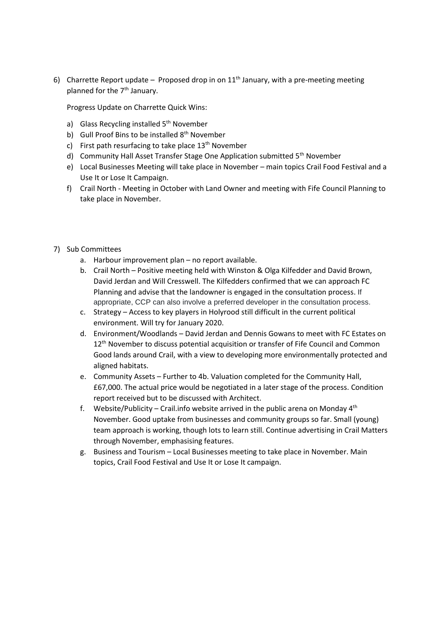6) Charrette Report update – Proposed drop in on  $11<sup>th</sup>$  January, with a pre-meeting meeting planned for the 7<sup>th</sup> January.

Progress Update on Charrette Quick Wins:

- a) Glass Recycling installed 5<sup>th</sup> November
- b) Gull Proof Bins to be installed 8<sup>th</sup> November
- c) First path resurfacing to take place  $13<sup>th</sup>$  November
- d) Community Hall Asset Transfer Stage One Application submitted 5<sup>th</sup> November
- e) Local Businesses Meeting will take place in November main topics Crail Food Festival and a Use It or Lose It Campaign.
- f) Crail North Meeting in October with Land Owner and meeting with Fife Council Planning to take place in November.
- 7) Sub Committees
	- a. Harbour improvement plan no report available.
	- b. Crail North Positive meeting held with Winston & Olga Kilfedder and David Brown, David Jerdan and Will Cresswell. The Kilfedders confirmed that we can approach FC Planning and advise that the landowner is engaged in the consultation process. If appropriate, CCP can also involve a preferred developer in the consultation process.
	- c. Strategy Access to key players in Holyrood still difficult in the current political environment. Will try for January 2020.
	- d. Environment/Woodlands David Jerdan and Dennis Gowans to meet with FC Estates on 12<sup>th</sup> November to discuss potential acquisition or transfer of Fife Council and Common Good lands around Crail, with a view to developing more environmentally protected and aligned habitats.
	- e. Community Assets Further to 4b. Valuation completed for the Community Hall, £67,000. The actual price would be negotiated in a later stage of the process. Condition report received but to be discussed with Architect.
	- f. Website/Publicity Crail.info website arrived in the public arena on Monday  $4<sup>th</sup>$ November. Good uptake from businesses and community groups so far. Small (young) team approach is working, though lots to learn still. Continue advertising in Crail Matters through November, emphasising features.
	- g. Business and Tourism Local Businesses meeting to take place in November. Main topics, Crail Food Festival and Use It or Lose It campaign.